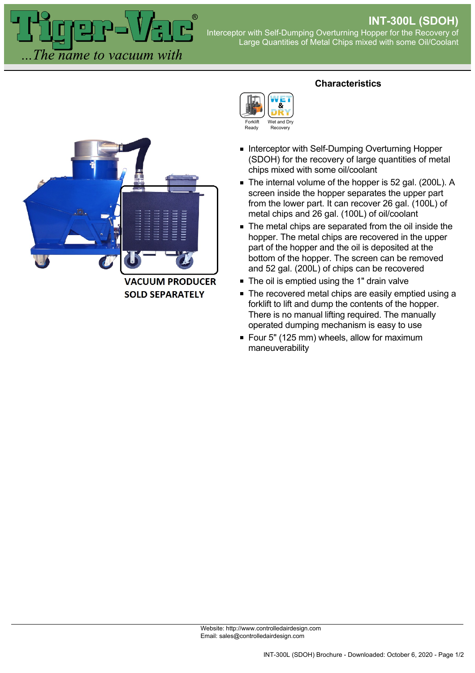The name to vacuum with

## Interceptor with Self-Dumping Overturning Hopper for the Recovery of Large Quantities of Metal Chips mixed with some Oil/Coolant



**VACUUM PRODUCER SOLD SEPARATELY** 

## **Characteristics**



- **Interceptor with Self-Dumping Overturning Hopper** (SDOH) for the recovery of large quantities of metal chips mixed with some oil/coolant
- The internal volume of the hopper is 52 gal. (200L). A screen inside the hopper separates the upper part from the lower part. It can recover 26 gal. (100L) of metal chips and 26 gal. (100L) of oil/coolant
- The metal chips are separated from the oil inside the hopper. The metal chips are recovered in the upper part of the hopper and the oil is deposited at the bottom of the hopper. The screen can be removed and 52 gal. (200L) of chips can be recovered
- The oil is emptied using the 1" drain valve
- The recovered metal chips are easily emptied using a forklift to lift and dump the contents of the hopper. There is no manual lifting required. The manually operated dumping mechanism is easy to use
- Four 5" (125 mm) wheels, allow for maximum maneuverability